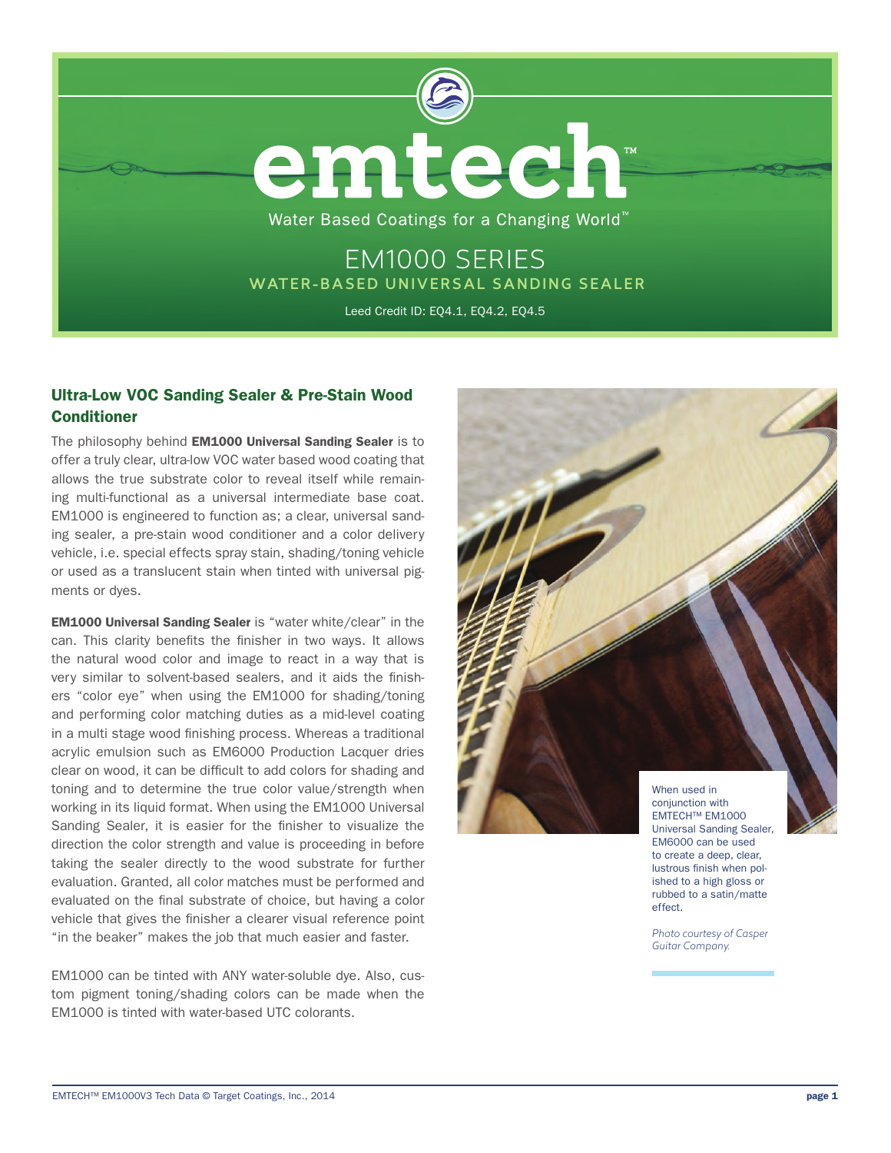

# Ultra-Low VOC Sanding Sealer & Pre-Stain Wood Conditioner

The philosophy behind **EM1000 Universal Sanding Sealer** is to offer a truly clear, ultra-low VOC water based wood coating that allows the true substrate color to reveal itself while remaining multi-functional as a universal intermediate base coat. EM1000 is engineered to function as; a clear, universal sanding sealer, a pre-stain wood conditioner and a color delivery vehicle, i.e. special effects spray stain, shading/toning vehicle or used as a translucent stain when tinted with universal pigments or dyes.

EM1000 Universal Sanding Sealer is "water white/clear" in the can. This clarity benefits the finisher in two ways. It allows the natural wood color and image to react in a way that is very similar to solvent-based sealers, and it aids the finishers "color eye" when using the EM1000 for shading/toning and performing color matching duties as a mid-level coating in a multi stage wood finishing process. Whereas a traditional acrylic emulsion such as EM6000 Production Lacquer dries clear on wood, it can be difficult to add colors for shading and toning and to determine the true color value/strength when working in its liquid format. When using the EM1000 Universal Sanding Sealer, it is easier for the finisher to visualize the direction the color strength and value is proceeding in before taking the sealer directly to the wood substrate for further evaluation. Granted, all color matches must be performed and evaluated on the final substrate of choice, but having a color vehicle that gives the finisher a clearer visual reference point "in the beaker" makes the job that much easier and faster.

EM1000 can be tinted with ANY water-soluble dye. Also, custom pigment toning/shading colors can be made when the EM1000 is tinted with water-based UTC colorants.



ished to a high gloss or rubbed to a satin/matte

*Photo courtesy of Casper Guitar Company.*

effect.

EMTECH™ EM1000V3 Tech Data © Target Coatings, Inc., 2014 **page 1 page 1 page 1**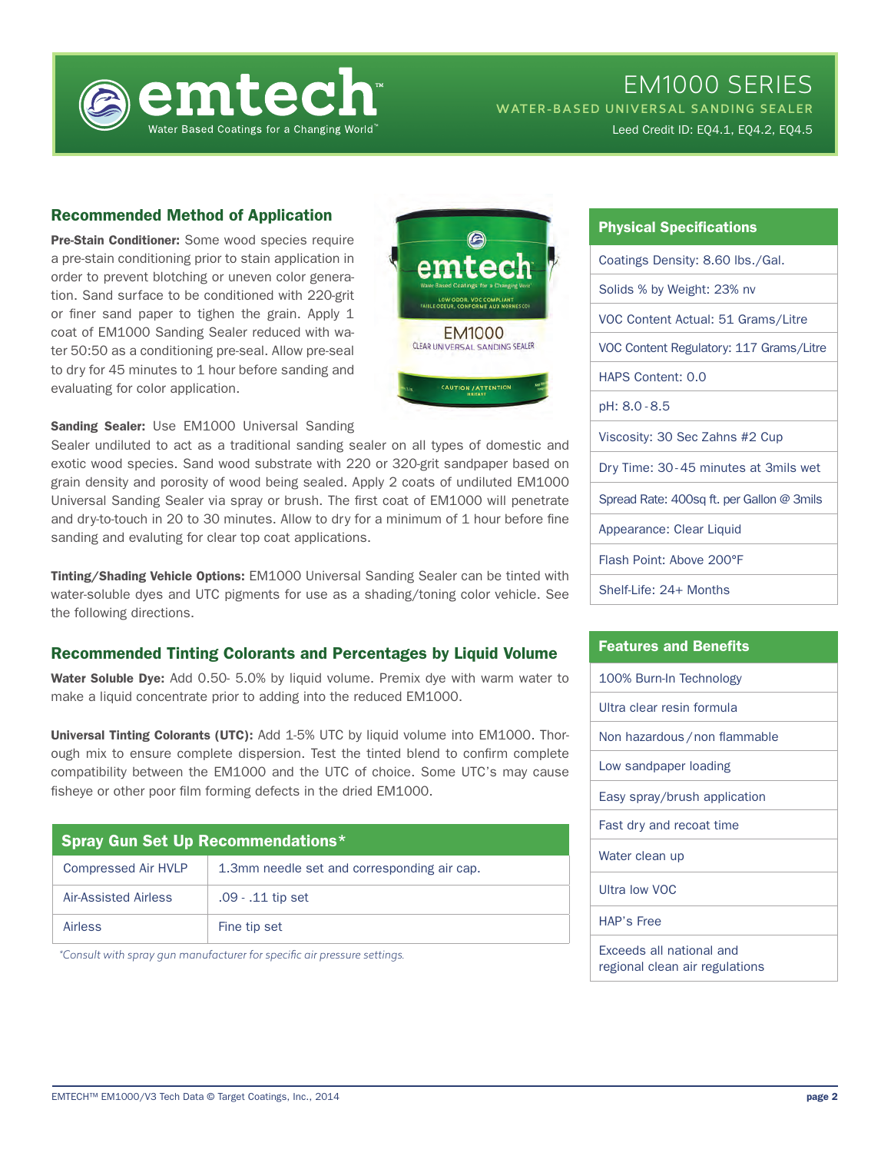

# EM1000 SERIES

WATER-BASED UNIVERSAL SANDING SEALER

Leed Credit ID: EQ4.1, EQ4.2, EQ4.5

## Recommended Method of Application

Pre-Stain Conditioner: Some wood species require a pre-stain conditioning prior to stain application in order to prevent blotching or uneven color generation. Sand surface to be conditioned with 220-grit or finer sand paper to tighen the grain. Apply 1 coat of EM1000 Sanding Sealer reduced with water 50:50 as a conditioning pre-seal. Allow pre-seal to dry for 45 minutes to 1 hour before sanding and evaluating for color application.



Sanding Sealer: Use EM1000 Universal Sanding

Sealer undiluted to act as a traditional sanding sealer on all types of domestic and exotic wood species. Sand wood substrate with 220 or 320-grit sandpaper based on grain density and porosity of wood being sealed. Apply 2 coats of undiluted EM1000 Universal Sanding Sealer via spray or brush. The first coat of EM1000 will penetrate and dry-to-touch in 20 to 30 minutes. Allow to dry for a minimum of 1 hour before fine sanding and evaluting for clear top coat applications.

Tinting/Shading Vehicle Options: EM1000 Universal Sanding Sealer can be tinted with water-soluble dyes and UTC pigments for use as a shading/toning color vehicle. See the following directions.

## Recommended Tinting Colorants and Percentages by Liquid Volume

Water Soluble Dye: Add 0.50- 5.0% by liquid volume. Premix dye with warm water to make a liquid concentrate prior to adding into the reduced EM1000.

Universal Tinting Colorants (UTC): Add 1-5% UTC by liquid volume into EM1000. Thorough mix to ensure complete dispersion. Test the tinted blend to confirm complete compatibility between the EM1000 and the UTC of choice. Some UTC's may cause fisheye or other poor film forming defects in the dried EM1000.

| Spray Gun Set Up Recommendations* |                                             |
|-----------------------------------|---------------------------------------------|
| <b>Compressed Air HVLP</b>        | 1.3mm needle set and corresponding air cap. |
| Air-Assisted Airless              | .09 - .11 tip set                           |
| Airless                           | Fine tip set                                |

*\*Consult with spray gun manufacturer for specific air pressure settings.*

| <b>Physical Specifications</b>            |  |
|-------------------------------------------|--|
| Coatings Density: 8.60 lbs./Gal.          |  |
| Solids % by Weight: 23% nv                |  |
| VOC Content Actual: 51 Grams/Litre        |  |
| VOC Content Regulatory: 117 Grams/Litre   |  |
| <b>HAPS Content: 0.0</b>                  |  |
| pH: 8.0 - 8.5                             |  |
| Viscosity: 30 Sec Zahns #2 Cup            |  |
| Dry Time: 30-45 minutes at 3mils wet      |  |
| Spread Rate: 400sq ft. per Gallon @ 3mils |  |
| Appearance: Clear Liquid                  |  |
| Flash Point: Above 200°F                  |  |
| Shelf-Life: 24+ Months                    |  |

| <b>Features and Benefits</b>                               |  |
|------------------------------------------------------------|--|
| 100% Burn-In Technology                                    |  |
| Ultra clear resin formula                                  |  |
| Non hazardous / non flammable                              |  |
| Low sandpaper loading                                      |  |
| Easy spray/brush application                               |  |
| Fast dry and recoat time                                   |  |
| Water clean up                                             |  |
| Ultra low VOC                                              |  |
| <b>HAP's Free</b>                                          |  |
| Exceeds all national and<br>regional clean air regulations |  |